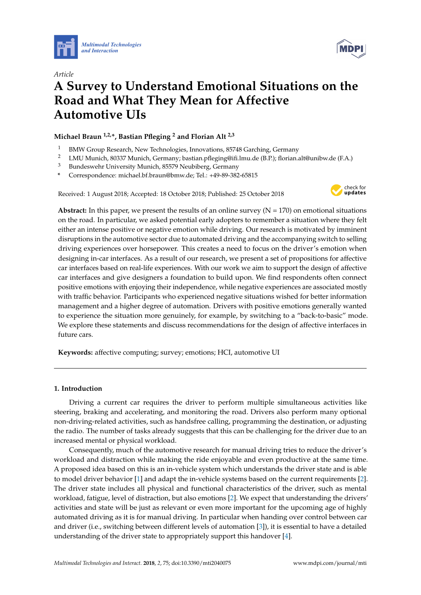



# *Article* **A Survey to Understand Emotional Situations on the Road and What They Mean for Affective Automotive UIs**

# **Michael Braun 1,2,\*, Bastian Pfleging <sup>2</sup> and Florian Alt 2,3**

- <sup>1</sup> BMW Group Research, New Technologies, Innovations, 85748 Garching, Germany
- 2 LMU Munich, 80337 Munich, Germany; bastian.pfleging@ifi.lmu.de (B.P.); florian.alt@unibw.de (F.A.)<br>3 Pundasushu University Munich, 85570 Noubihors, Carmany
- <sup>3</sup> Bundeswehr University Munich, 85579 Neubiberg, Germany
- **\*** Correspondence: michael.bf.braun@bmw.de; Tel.: +49-89-382-65815

Received: 1 August 2018; Accepted: 18 October 2018; Published: 25 October 2018



**Abstract:** In this paper, we present the results of an online survey  $(N = 170)$  on emotional situations on the road. In particular, we asked potential early adopters to remember a situation where they felt either an intense positive or negative emotion while driving. Our research is motivated by imminent disruptions in the automotive sector due to automated driving and the accompanying switch to selling driving experiences over horsepower. This creates a need to focus on the driver's emotion when designing in-car interfaces. As a result of our research, we present a set of propositions for affective car interfaces based on real-life experiences. With our work we aim to support the design of affective car interfaces and give designers a foundation to build upon. We find respondents often connect positive emotions with enjoying their independence, while negative experiences are associated mostly with traffic behavior. Participants who experienced negative situations wished for better information management and a higher degree of automation. Drivers with positive emotions generally wanted to experience the situation more genuinely, for example, by switching to a "back-to-basic" mode. We explore these statements and discuss recommendations for the design of affective interfaces in future cars.

**Keywords:** affective computing; survey; emotions; HCI, automotive UI

# **1. Introduction**

Driving a current car requires the driver to perform multiple simultaneous activities like steering, braking and accelerating, and monitoring the road. Drivers also perform many optional non-driving-related activities, such as handsfree calling, programming the destination, or adjusting the radio. The number of tasks already suggests that this can be challenging for the driver due to an increased mental or physical workload.

Consequently, much of the automotive research for manual driving tries to reduce the driver's workload and distraction while making the ride enjoyable and even productive at the same time. A proposed idea based on this is an in-vehicle system which understands the driver state and is able to model driver behavior [\[1\]](#page-10-0) and adapt the in-vehicle systems based on the current requirements [\[2\]](#page-10-1). The driver state includes all physical and functional characteristics of the driver, such as mental workload, fatigue, level of distraction, but also emotions [\[2\]](#page-10-1). We expect that understanding the drivers' activities and state will be just as relevant or even more important for the upcoming age of highly automated driving as it is for manual driving. In particular when handing over control between car and driver (i.e., switching between different levels of automation [\[3\]](#page-10-2)), it is essential to have a detailed understanding of the driver state to appropriately support this handover [\[4\]](#page-10-3).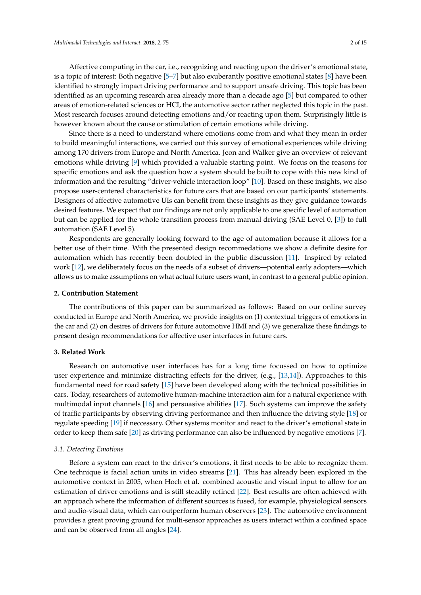Affective computing in the car, i.e., recognizing and reacting upon the driver's emotional state,

is a topic of interest: Both negative [\[5–](#page-10-4)[7\]](#page-10-5) but also exuberantly positive emotional states [\[8\]](#page-10-6) have been identified to strongly impact driving performance and to support unsafe driving. This topic has been identified as an upcoming research area already more than a decade ago [\[5\]](#page-10-4) but compared to other areas of emotion-related sciences or HCI, the automotive sector rather neglected this topic in the past. Most research focuses around detecting emotions and/or reacting upon them. Surprisingly little is however known about the cause or stimulation of certain emotions while driving.

Since there is a need to understand where emotions come from and what they mean in order to build meaningful interactions, we carried out this survey of emotional experiences while driving among 170 drivers from Europe and North America. Jeon and Walker give an overview of relevant emotions while driving [\[9\]](#page-10-7) which provided a valuable starting point. We focus on the reasons for specific emotions and ask the question how a system should be built to cope with this new kind of information and the resulting "driver-vehicle interaction loop" [\[10\]](#page-11-0). Based on these insights, we also propose user-centered characteristics for future cars that are based on our participants' statements. Designers of affective automotive UIs can benefit from these insights as they give guidance towards desired features. We expect that our findings are not only applicable to one specific level of automation but can be applied for the whole transition process from manual driving (SAE Level 0, [\[3\]](#page-10-2)) to full automation (SAE Level 5).

Respondents are generally looking forward to the age of automation because it allows for a better use of their time. With the presented design recommedations we show a definite desire for automation which has recently been doubted in the public discussion [\[11\]](#page-11-1). Inspired by related work [\[12\]](#page-11-2), we deliberately focus on the needs of a subset of drivers—potential early adopters—which allows us to make assumptions on what actual future users want, in contrast to a general public opinion.

#### **2. Contribution Statement**

The contributions of this paper can be summarized as follows: Based on our online survey conducted in Europe and North America, we provide insights on (1) contextual triggers of emotions in the car and (2) on desires of drivers for future automotive HMI and (3) we generalize these findings to present design recommendations for affective user interfaces in future cars.

## **3. Related Work**

Research on automotive user interfaces has for a long time focussed on how to optimize user experience and minimize distracting effects for the driver, (e.g., [\[13,](#page-11-3)[14\]](#page-11-4)). Approaches to this fundamental need for road safety [\[15\]](#page-11-5) have been developed along with the technical possibilities in cars. Today, researchers of automotive human-machine interaction aim for a natural experience with multimodal input channels [\[16\]](#page-11-6) and persuasive abilities [\[17\]](#page-11-7). Such systems can improve the safety of traffic participants by observing driving performance and then influence the driving style [\[18\]](#page-11-8) or regulate speeding [\[19\]](#page-11-9) if neccessary. Other systems monitor and react to the driver's emotional state in order to keep them safe [\[20\]](#page-11-10) as driving performance can also be influenced by negative emotions [\[7\]](#page-10-5).

#### *3.1. Detecting Emotions*

Before a system can react to the driver's emotions, it first needs to be able to recognize them. One technique is facial action units in video streams [\[21\]](#page-11-11). This has already been explored in the automotive context in 2005, when Hoch et al. combined acoustic and visual input to allow for an estimation of driver emotions and is still steadily refined [\[22\]](#page-11-12). Best results are often achieved with an approach where the information of different sources is fused, for example, physiological sensors and audio-visual data, which can outperform human observers [\[23\]](#page-11-13). The automotive environment provides a great proving ground for multi-sensor approaches as users interact within a confined space and can be observed from all angles [\[24\]](#page-11-14).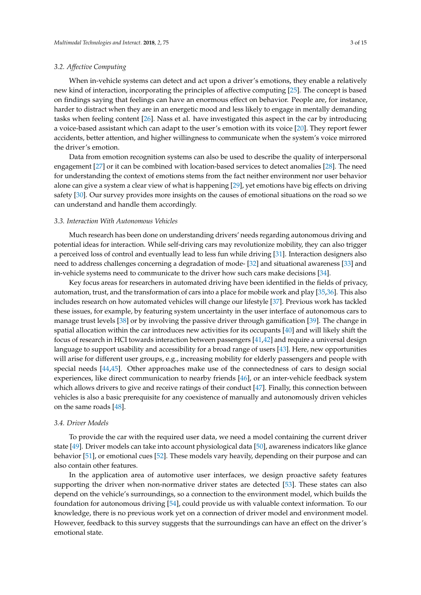## *3.2. Affective Computing*

When in-vehicle systems can detect and act upon a driver's emotions, they enable a relatively new kind of interaction, incorporating the principles of affective computing [\[25\]](#page-11-15). The concept is based on findings saying that feelings can have an enormous effect on behavior. People are, for instance, harder to distract when they are in an energetic mood and less likely to engage in mentally demanding tasks when feeling content [\[26\]](#page-12-0). Nass et al. have investigated this aspect in the car by introducing a voice-based assistant which can adapt to the user's emotion with its voice [\[20\]](#page-11-10). They report fewer accidents, better attention, and higher willingness to communicate when the system's voice mirrored the driver's emotion.

Data from emotion recognition systems can also be used to describe the quality of interpersonal engagement [\[27\]](#page-12-1) or it can be combined with location-based services to detect anomalies [\[28\]](#page-12-2). The need for understanding the context of emotions stems from the fact neither environment nor user behavior alone can give a system a clear view of what is happening [\[29\]](#page-12-3), yet emotions have big effects on driving safety [\[30\]](#page-12-4). Our survey provides more insights on the causes of emotional situations on the road so we can understand and handle them accordingly.

## *3.3. Interaction With Autonomous Vehicles*

Much research has been done on understanding drivers' needs regarding autonomous driving and potential ideas for interaction. While self-driving cars may revolutionize mobility, they can also trigger a perceived loss of control and eventually lead to less fun while driving [\[31\]](#page-12-5). Interaction designers also need to address challenges concerning a degradation of mode- [\[32\]](#page-12-6) and situational awareness [\[33\]](#page-12-7) and in-vehicle systems need to communicate to the driver how such cars make decisions [\[34\]](#page-12-8).

Key focus areas for researchers in automated driving have been identified in the fields of privacy, automation, trust, and the transformation of cars into a place for mobile work and play [\[35](#page-12-9)[,36\]](#page-12-10). This also includes research on how automated vehicles will change our lifestyle [\[37\]](#page-12-11). Previous work has tackled these issues, for example, by featuring system uncertainty in the user interface of autonomous cars to manage trust levels [\[38\]](#page-12-12) or by involving the passive driver through gamification [\[39\]](#page-12-13). The change in spatial allocation within the car introduces new activities for its occupants [\[40\]](#page-12-14) and will likely shift the focus of research in HCI towards interaction between passengers [\[41,](#page-12-15)[42\]](#page-12-16) and require a universal design language to support usability and accessibility for a broad range of users [\[43\]](#page-13-0). Here, new opportunities will arise for different user groups, e.g., increasing mobility for elderly passengers and people with special needs [\[44,](#page-13-1)[45\]](#page-13-2). Other approaches make use of the connectedness of cars to design social experiences, like direct communication to nearby friends [\[46\]](#page-13-3), or an inter-vehicle feedback system which allows drivers to give and receive ratings of their conduct [\[47\]](#page-13-4). Finally, this connection between vehicles is also a basic prerequisite for any coexistence of manually and autonomously driven vehicles on the same roads [\[48\]](#page-13-5).

#### *3.4. Driver Models*

To provide the car with the required user data, we need a model containing the current driver state [\[49\]](#page-13-6). Driver models can take into account physiological data [\[50\]](#page-13-7), awareness indicators like glance behavior [\[51\]](#page-13-8), or emotional cues [\[52\]](#page-13-9). These models vary heavily, depending on their purpose and can also contain other features.

In the application area of automotive user interfaces, we design proactive safety features supporting the driver when non-normative driver states are detected [\[53\]](#page-13-10). These states can also depend on the vehicle's surroundings, so a connection to the environment model, which builds the foundation for autonomous driving [\[54\]](#page-13-11), could provide us with valuable context information. To our knowledge, there is no previous work yet on a connection of driver model and environment model. However, feedback to this survey suggests that the surroundings can have an effect on the driver's emotional state.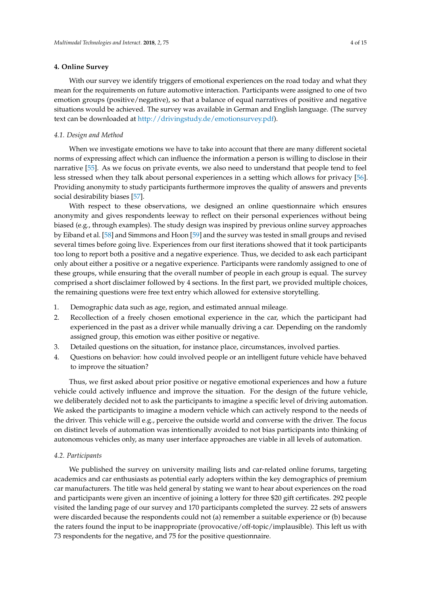## **4. Online Survey**

With our survey we identify triggers of emotional experiences on the road today and what they mean for the requirements on future automotive interaction. Participants were assigned to one of two emotion groups (positive/negative), so that a balance of equal narratives of positive and negative situations would be achieved. The survey was available in German and English language. (The survey text can be downloaded at [http://drivingstudy.de/emotionsurvey.pdf\)](http://drivingstudy.de/emotionsurvey.pdf).

## *4.1. Design and Method*

When we investigate emotions we have to take into account that there are many different societal norms of expressing affect which can influence the information a person is willing to disclose in their narrative [\[55\]](#page-13-12). As we focus on private events, we also need to understand that people tend to feel less stressed when they talk about personal experiences in a setting which allows for privacy [\[56\]](#page-13-13). Providing anonymity to study participants furthermore improves the quality of answers and prevents social desirability biases [\[57\]](#page-13-14).

With respect to these observations, we designed an online questionnaire which ensures anonymity and gives respondents leeway to reflect on their personal experiences without being biased (e.g., through examples). The study design was inspired by previous online survey approaches by Eiband et al. [\[58\]](#page-13-15) and Simmons and Hoon [\[59\]](#page-13-16) and the survey was tested in small groups and revised several times before going live. Experiences from our first iterations showed that it took participants too long to report both a positive and a negative experience. Thus, we decided to ask each participant only about either a positive or a negative experience. Participants were randomly assigned to one of these groups, while ensuring that the overall number of people in each group is equal. The survey comprised a short disclaimer followed by 4 sections. In the first part, we provided multiple choices, the remaining questions were free text entry which allowed for extensive storytelling.

- 1. Demographic data such as age, region, and estimated annual mileage.
- 2. Recollection of a freely chosen emotional experience in the car, which the participant had experienced in the past as a driver while manually driving a car. Depending on the randomly assigned group, this emotion was either positive or negative.
- 3. Detailed questions on the situation, for instance place, circumstances, involved parties.
- 4. Questions on behavior: how could involved people or an intelligent future vehicle have behaved to improve the situation?

Thus, we first asked about prior positive or negative emotional experiences and how a future vehicle could actively influence and improve the situation. For the design of the future vehicle, we deliberately decided not to ask the participants to imagine a specific level of driving automation. We asked the participants to imagine a modern vehicle which can actively respond to the needs of the driver. This vehicle will e.g., perceive the outside world and converse with the driver. The focus on distinct levels of automation was intentionally avoided to not bias participants into thinking of autonomous vehicles only, as many user interface approaches are viable in all levels of automation.

#### *4.2. Participants*

We published the survey on university mailing lists and car-related online forums, targeting academics and car enthusiasts as potential early adopters within the key demographics of premium car manufacturers. The title was held general by stating we want to hear about experiences on the road and participants were given an incentive of joining a lottery for three \$20 gift certificates. 292 people visited the landing page of our survey and 170 participants completed the survey. 22 sets of answers were discarded because the respondents could not (a) remember a suitable experience or (b) because the raters found the input to be inappropriate (provocative/off-topic/implausible). This left us with 73 respondents for the negative, and 75 for the positive questionnaire.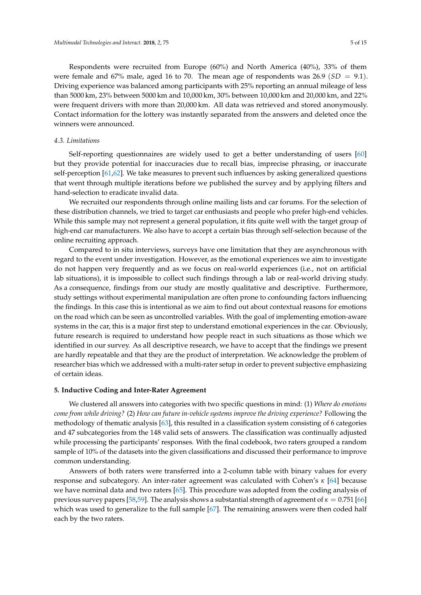Respondents were recruited from Europe (60%) and North America (40%), 33% of them were female and 67% male, aged 16 to 70. The mean age of respondents was 26.9  $(SD = 9.1)$ . Driving experience was balanced among participants with 25% reporting an annual mileage of less than 5000 km, 23% between 5000 km and 10,000 km, 30% between 10,000 km and 20,000 km, and 22% were frequent drivers with more than 20,000 km. All data was retrieved and stored anonymously. Contact information for the lottery was instantly separated from the answers and deleted once the winners were announced.

## *4.3. Limitations*

Self-reporting questionnaires are widely used to get a better understanding of users [\[60\]](#page-13-17) but they provide potential for inaccuracies due to recall bias, imprecise phrasing, or inaccurate self-perception [\[61](#page-13-18)[,62\]](#page-13-19). We take measures to prevent such influences by asking generalized questions that went through multiple iterations before we published the survey and by applying filters and hand-selection to eradicate invalid data.

We recruited our respondents through online mailing lists and car forums. For the selection of these distribution channels, we tried to target car enthusiasts and people who prefer high-end vehicles. While this sample may not represent a general population, it fits quite well with the target group of high-end car manufacturers. We also have to accept a certain bias through self-selection because of the online recruiting approach.

Compared to in situ interviews, surveys have one limitation that they are asynchronous with regard to the event under investigation. However, as the emotional experiences we aim to investigate do not happen very frequently and as we focus on real-world experiences (i.e., not on artificial lab situations), it is impossible to collect such findings through a lab or real-world driving study. As a consequence, findings from our study are mostly qualitative and descriptive. Furthermore, study settings without experimental manipulation are often prone to confounding factors influencing the findings. In this case this is intentional as we aim to find out about contextual reasons for emotions on the road which can be seen as uncontrolled variables. With the goal of implementing emotion-aware systems in the car, this is a major first step to understand emotional experiences in the car. Obviously, future research is required to understand how people react in such situations as those which we identified in our survey. As all descriptive research, we have to accept that the findings we present are hardly repeatable and that they are the product of interpretation. We acknowledge the problem of researcher bias which we addressed with a multi-rater setup in order to prevent subjective emphasizing of certain ideas.

## **5. Inductive Coding and Inter-Rater Agreement**

We clustered all answers into categories with two specific questions in mind: (1) *Where do emotions come from while driving?* (2) *How can future in-vehicle systems improve the driving experience?* Following the methodology of thematic analysis [\[63\]](#page-13-20), this resulted in a classification system consisting of 6 categories and 47 subcategories from the 148 valid sets of answers. The classification was continually adjusted while processing the participants' responses. With the final codebook, two raters grouped a random sample of 10% of the datasets into the given classifications and discussed their performance to improve common understanding.

Answers of both raters were transferred into a 2-column table with binary values for every response and subcategory. An inter-rater agreement was calculated with Cohen's *κ* [\[64\]](#page-13-21) because we have nominal data and two raters [\[65\]](#page-14-0). This procedure was adopted from the coding analysis of previous survey papers [\[58](#page-13-15)[,59\]](#page-13-16). The analysis shows a substantial strength of agreement of  $\kappa = 0.751$  [\[66\]](#page-14-1) which was used to generalize to the full sample [\[67\]](#page-14-2). The remaining answers were then coded half each by the two raters.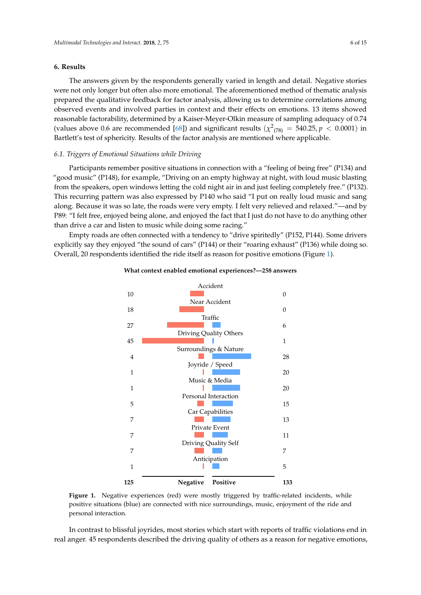## **6. Results**

The answers given by the respondents generally varied in length and detail. Negative stories were not only longer but often also more emotional. The aforementioned method of thematic analysis prepared the qualitative feedback for factor analysis, allowing us to determine correlations among observed events and involved parties in context and their effects on emotions. 13 items showed reasonable factorability, determined by a Kaiser-Meyer-Olkin measure of sampling adequacy of 0.74 (values above 0.6 are recommended [\[68\]](#page-14-3)) and significant results ( $\chi^2_{(78)} = 540.25, p < 0.0001$ ) in Bartlett's test of sphericity. Results of the factor analysis are mentioned where applicable.

## *6.1. Triggers of Emotional Situations while Driving*

Participants remember positive situations in connection with a "feeling of being free" (P134) and "good music" (P148), for example, "Driving on an empty highway at night, with loud music blasting from the speakers, open windows letting the cold night air in and just feeling completely free." (P132). This recurring pattern was also expressed by P140 who said "I put on really loud music and sang along. Because it was so late, the roads were very empty. I felt very relieved and relaxed."—and by P89: "I felt free, enjoyed being alone, and enjoyed the fact that I just do not have to do anything other than drive a car and listen to music while doing some racing."

<span id="page-5-0"></span>Empty roads are often connected with a tendency to "drive spiritedly" (P152, P144). Some drivers explicitly say they enjoyed "the sound of cars" (P144) or their "roaring exhaust" (P136) while doing so. Overall, 20 respondents identified the ride itself as reason for positive emotions (Figure [1\)](#page-5-0).



#### **What context enabled emotional experiences?—258 answers**

Figure 1. Negative experiences (red) were mostly triggered by traffic-related incidents, while positive situations (blue) are connected with nice surroundings, music, enjoyment of the ride and personal interaction.

In contrast to blissful joyrides, most stories which start with reports of traffic violations end in real anger. 45 respondents described the driving quality of others as a reason for negative emotions,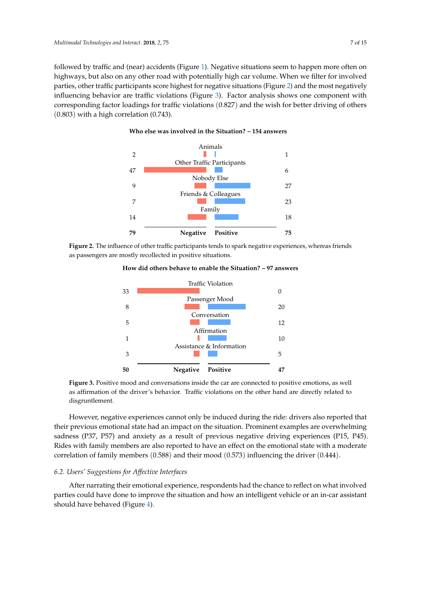<span id="page-6-0"></span>followed by traffic and (near) accidents (Figure [1\)](#page-5-0). Negative situations seem to happen more often on highways, but also on any other road with potentially high car volume. When we filter for involved parties, other traffic participants score highest for negative situations (Figure [2\)](#page-6-0) and the most negatively influencing behavior are traffic violations (Figure [3\)](#page-6-1). Factor analysis shows one component with corresponding factor loadings for traffic violations (0.827) and the wish for better driving of others (0.803) with a high correlation (0.743).



#### **Who else was involved in the Situation? – 154 answers**

<span id="page-6-1"></span>**Figure 2.** The influence of other traffic participants tends to spark negative experiences, whereas friends as passengers are mostly recollected in positive situations.



**How did others behave to enable the Situation? – 97 answers**

**Figure 3.** Positive mood and conversations inside the car are connected to positive emotions, as well as affirmation of the driver's behavior. Traffic violations on the other hand are directly related to disgruntlement.

However, negative experiences cannot only be induced during the ride: drivers also reported that their previous emotional state had an impact on the situation. Prominent examples are overwhelming sadness (P37, P57) and anxiety as a result of previous negative driving experiences (P15, P45). Rides with family members are also reported to have an effect on the emotional state with a moderate correlation of family members (0.588) and their mood (0.573) influencing the driver (0.444).

#### *6.2. Users' Suggestions for Affective Interfaces*

After narrating their emotional experience, respondents had the chance to reflect on what involved parties could have done to improve the situation and how an intelligent vehicle or an in-car assistant should have behaved (Figure [4\)](#page-7-0).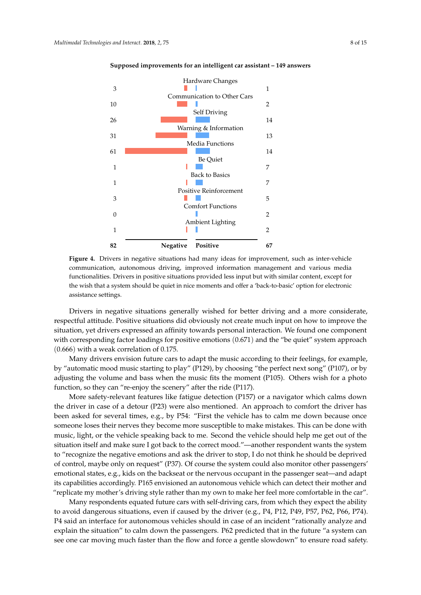<span id="page-7-0"></span>

## **Supposed improvements for an intelligent car assistant – 149 answers**

**Figure 4.** Drivers in negative situations had many ideas for improvement, such as inter-vehicle communication, autonomous driving, improved information management and various media functionalities. Drivers in positive situations provided less input but with similar content, except for the wish that a system should be quiet in nice moments and offer a 'back-to-basic' option for electronic assistance settings.

Drivers in negative situations generally wished for better driving and a more considerate, respectful attitude. Positive situations did obviously not create much input on how to improve the situation, yet drivers expressed an affinity towards personal interaction. We found one component with corresponding factor loadings for positive emotions  $(0.671)$  and the "be quiet" system approach (0.666) with a weak correlation of 0.175.

Many drivers envision future cars to adapt the music according to their feelings, for example, by "automatic mood music starting to play" (P129), by choosing "the perfect next song" (P107), or by adjusting the volume and bass when the music fits the moment (P105). Others wish for a photo function, so they can "re-enjoy the scenery" after the ride (P117).

More safety-relevant features like fatigue detection (P157) or a navigator which calms down the driver in case of a detour (P23) were also mentioned. An approach to comfort the driver has been asked for several times, e.g., by P54: "First the vehicle has to calm me down because once someone loses their nerves they become more susceptible to make mistakes. This can be done with music, light, or the vehicle speaking back to me. Second the vehicle should help me get out of the situation itself and make sure I got back to the correct mood."—another respondent wants the system to "recognize the negative emotions and ask the driver to stop, I do not think he should be deprived of control, maybe only on request" (P37). Of course the system could also monitor other passengers' emotional states, e.g., kids on the backseat or the nervous occupant in the passenger seat—and adapt its capabilities accordingly. P165 envisioned an autonomous vehicle which can detect their mother and "replicate my mother's driving style rather than my own to make her feel more comfortable in the car".

Many respondents equated future cars with self-driving cars, from which they expect the ability to avoid dangerous situations, even if caused by the driver (e.g., P4, P12, P49, P57, P62, P66, P74). P4 said an interface for autonomous vehicles should in case of an incident "rationally analyze and explain the situation" to calm down the passengers. P62 predicted that in the future "a system can see one car moving much faster than the flow and force a gentle slowdown" to ensure road safety.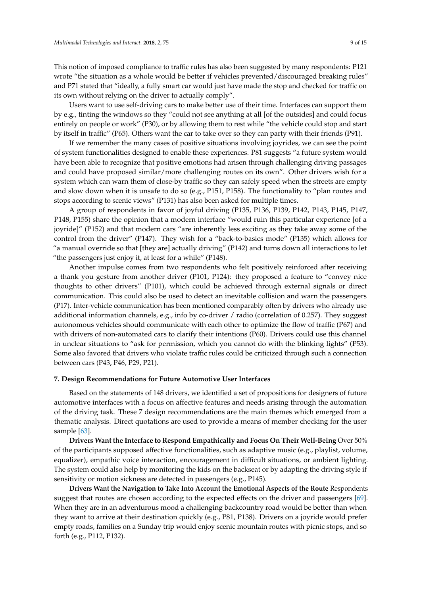This notion of imposed compliance to traffic rules has also been suggested by many respondents: P121 wrote "the situation as a whole would be better if vehicles prevented/discouraged breaking rules" and P71 stated that "ideally, a fully smart car would just have made the stop and checked for traffic on its own without relying on the driver to actually comply".

Users want to use self-driving cars to make better use of their time. Interfaces can support them by e.g., tinting the windows so they "could not see anything at all [of the outsides] and could focus entirely on people or work" (P30), or by allowing them to rest while "the vehicle could stop and start by itself in traffic" (P65). Others want the car to take over so they can party with their friends (P91).

If we remember the many cases of positive situations involving joyrides, we can see the point of system functionalities designed to enable these experiences. P81 suggests "a future system would have been able to recognize that positive emotions had arisen through challenging driving passages and could have proposed similar/more challenging routes on its own". Other drivers wish for a system which can warn them of close-by traffic so they can safely speed when the streets are empty and slow down when it is unsafe to do so (e.g., P151, P158). The functionality to "plan routes and stops according to scenic views" (P131) has also been asked for multiple times.

A group of respondents in favor of joyful driving (P135, P136, P139, P142, P143, P145, P147, P148, P155) share the opinion that a modern interface "would ruin this particular experience [of a joyride]" (P152) and that modern cars "are inherently less exciting as they take away some of the control from the driver" (P147). They wish for a "back-to-basics mode" (P135) which allows for "a manual override so that [they are] actually driving" (P142) and turns down all interactions to let "the passengers just enjoy it, at least for a while" (P148).

Another impulse comes from two respondents who felt positively reinforced after receiving a thank you gesture from another driver (P101, P124): they proposed a feature to "convey nice thoughts to other drivers" (P101), which could be achieved through external signals or direct communication. This could also be used to detect an inevitable collision and warn the passengers (P17). Inter-vehicle communication has been mentioned comparably often by drivers who already use additional information channels, e.g., info by co-driver / radio (correlation of 0.257). They suggest autonomous vehicles should communicate with each other to optimize the flow of traffic (P67) and with drivers of non-automated cars to clarify their intentions (P60). Drivers could use this channel in unclear situations to "ask for permission, which you cannot do with the blinking lights" (P53). Some also favored that drivers who violate traffic rules could be criticized through such a connection between cars (P43, P46, P29, P21).

#### **7. Design Recommendations for Future Automotive User Interfaces**

Based on the statements of 148 drivers, we identified a set of propositions for designers of future automotive interfaces with a focus on affective features and needs arising through the automation of the driving task. These 7 design recommendations are the main themes which emerged from a thematic analysis. Direct quotations are used to provide a means of member checking for the user sample [\[63\]](#page-13-20).

**Drivers Want the Interface to Respond Empathically and Focus On Their Well-Being** Over 50% of the participants supposed affective functionalities, such as adaptive music (e.g., playlist, volume, equalizer), empathic voice interaction, encouragement in difficult situations, or ambient lighting. The system could also help by monitoring the kids on the backseat or by adapting the driving style if sensitivity or motion sickness are detected in passengers (e.g., P145).

**Drivers Want the Navigation to Take Into Account the Emotional Aspects of the Route** Respondents suggest that routes are chosen according to the expected effects on the driver and passengers [\[69\]](#page-14-4). When they are in an adventurous mood a challenging backcountry road would be better than when they want to arrive at their destination quickly (e.g., P81, P138). Drivers on a joyride would prefer empty roads, families on a Sunday trip would enjoy scenic mountain routes with picnic stops, and so forth (e.g., P112, P132).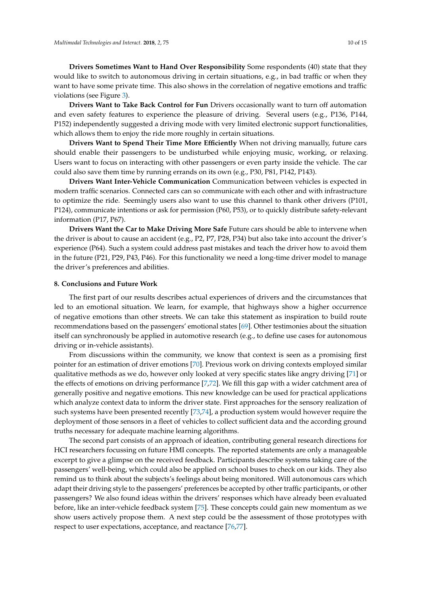**Drivers Sometimes Want to Hand Over Responsibility** Some respondents (40) state that they would like to switch to autonomous driving in certain situations, e.g., in bad traffic or when they want to have some private time. This also shows in the correlation of negative emotions and traffic violations (see Figure [3\)](#page-6-1).

**Drivers Want to Take Back Control for Fun** Drivers occasionally want to turn off automation and even safety features to experience the pleasure of driving. Several users (e.g., P136, P144, P152) independently suggested a driving mode with very limited electronic support functionalities, which allows them to enjoy the ride more roughly in certain situations.

**Drivers Want to Spend Their Time More Efficiently** When not driving manually, future cars should enable their passengers to be undisturbed while enjoying music, working, or relaxing. Users want to focus on interacting with other passengers or even party inside the vehicle. The car could also save them time by running errands on its own (e.g., P30, P81, P142, P143).

**Drivers Want Inter-Vehicle Communication** Communication between vehicles is expected in modern traffic scenarios. Connected cars can so communicate with each other and with infrastructure to optimize the ride. Seemingly users also want to use this channel to thank other drivers (P101, P124), communicate intentions or ask for permission (P60, P53), or to quickly distribute safety-relevant information (P17, P67).

**Drivers Want the Car to Make Driving More Safe** Future cars should be able to intervene when the driver is about to cause an accident (e.g., P2, P7, P28, P34) but also take into account the driver's experience (P64). Such a system could address past mistakes and teach the driver how to avoid them in the future (P21, P29, P43, P46). For this functionality we need a long-time driver model to manage the driver's preferences and abilities.

#### **8. Conclusions and Future Work**

The first part of our results describes actual experiences of drivers and the circumstances that led to an emotional situation. We learn, for example, that highways show a higher occurrence of negative emotions than other streets. We can take this statement as inspiration to build route recommendations based on the passengers' emotional states [\[69\]](#page-14-4). Other testimonies about the situation itself can synchronously be applied in automotive research (e.g., to define use cases for autonomous driving or in-vehicle assistants).

From discussions within the community, we know that context is seen as a promising first pointer for an estimation of driver emotions [\[70\]](#page-14-5). Previous work on driving contexts employed similar qualitative methods as we do, however only looked at very specific states like angry driving [\[71\]](#page-14-6) or the effects of emotions on driving performance [\[7](#page-10-5)[,72\]](#page-14-7). We fill this gap with a wider catchment area of generally positive and negative emotions. This new knowledge can be used for practical applications which analyze context data to inform the driver state. First approaches for the sensory realization of such systems have been presented recently [\[73,](#page-14-8)[74\]](#page-14-9), a production system would however require the deployment of those sensors in a fleet of vehicles to collect sufficient data and the according ground truths necessary for adequate machine learning algorithms.

The second part consists of an approach of ideation, contributing general research directions for HCI researchers focussing on future HMI concepts. The reported statements are only a manageable excerpt to give a glimpse on the received feedback. Participants describe systems taking care of the passengers' well-being, which could also be applied on school buses to check on our kids. They also remind us to think about the subjects's feelings about being monitored. Will autonomous cars which adapt their driving style to the passengers' preferences be accepted by other traffic participants, or other passengers? We also found ideas within the drivers' responses which have already been evaluated before, like an inter-vehicle feedback system [\[75\]](#page-14-10). These concepts could gain new momentum as we show users actively propose them. A next step could be the assessment of those prototypes with respect to user expectations, acceptance, and reactance [\[76](#page-14-11)[,77\]](#page-14-12).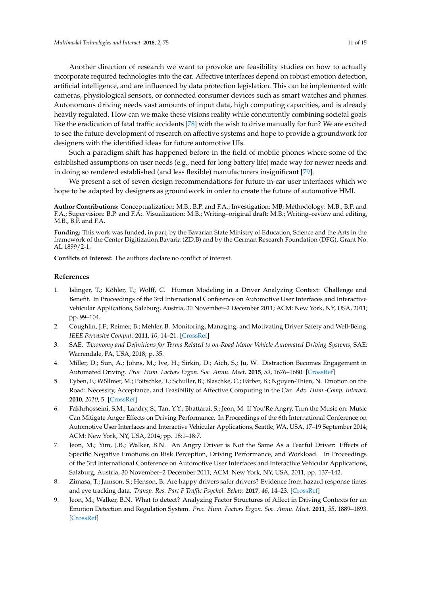Another direction of research we want to provoke are feasibility studies on how to actually incorporate required technologies into the car. Affective interfaces depend on robust emotion detection, artificial intelligence, and are influenced by data protection legislation. This can be implemented with cameras, physiological sensors, or connected consumer devices such as smart watches and phones. Autonomous driving needs vast amounts of input data, high computing capacities, and is already heavily regulated. How can we make these visions reality while concurrently combining societal goals like the eradication of fatal traffic accidents [\[78\]](#page-14-13) with the wish to drive manually for fun? We are excited to see the future development of research on affective systems and hope to provide a groundwork for designers with the identified ideas for future automotive UIs.

Such a paradigm shift has happened before in the field of mobile phones where some of the established assumptions on user needs (e.g., need for long battery life) made way for newer needs and in doing so rendered established (and less flexible) manufacturers insignificant [\[79\]](#page-14-14).

We present a set of seven design recommendations for future in-car user interfaces which we hope to be adapted by designers as groundwork in order to create the future of automotive HMI.

**Author Contributions:** Conceptualization: M.B., B.P. and F.A.; Investigation: MB; Methodology: M.B., B.P. and F.A.; Supervision: B.P. and F.A;. Visualization: M.B.; Writing–original draft: M.B.; Writing–review and editing, M.B., B.P. and F.A.

**Funding:** This work was funded, in part, by the Bavarian State Ministry of Education, Science and the Arts in the framework of the Center Digitization.Bavaria (ZD.B) and by the German Research Foundation (DFG), Grant No. AL 1899/2-1.

**Conflicts of Interest:** The authors declare no conflict of interest.

## **References**

- <span id="page-10-0"></span>1. Islinger, T.; Köhler, T.; Wolff, C. Human Modeling in a Driver Analyzing Context: Challenge and Benefit. In Proceedings of the 3rd International Conference on Automotive User Interfaces and Interactive Vehicular Applications, Salzburg, Austria, 30 November–2 December 2011; ACM: New York, NY, USA, 2011; pp. 99–104.
- <span id="page-10-1"></span>2. Coughlin, J.F.; Reimer, B.; Mehler, B. Monitoring, Managing, and Motivating Driver Safety and Well-Being. *IEEE Pervasive Comput.* **2011**, *10*, 14–21. [\[CrossRef\]](http://dx.doi.org/10.1109/MPRV.2011.54)
- <span id="page-10-2"></span>3. SAE. *Taxonomy and Definitions for Terms Related to on-Road Motor Vehicle Automated Driving Systems*; SAE: Warrendale, PA, USA, 2018; p. 35.
- <span id="page-10-3"></span>4. Miller, D.; Sun, A.; Johns, M.; Ive, H.; Sirkin, D.; Aich, S.; Ju, W. Distraction Becomes Engagement in Automated Driving. *Proc. Hum. Factors Ergon. Soc. Annu. Meet.* **2015**, *59*, 1676–1680. [\[CrossRef\]](http://dx.doi.org/10.1177/1541931215591362)
- <span id="page-10-4"></span>5. Eyben, F.; Wöllmer, M.; Poitschke, T.; Schuller, B.; Blaschke, C.; Färber, B.; Nguyen-Thien, N. Emotion on the Road: Necessity, Acceptance, and Feasibility of Affective Computing in the Car. *Adv. Hum.-Comp. Interact.* **2010**, *2010*, 5. [\[CrossRef\]](http://dx.doi.org/10.1155/2010/263593)
- 6. Fakhrhosseini, S.M.; Landry, S.; Tan, Y.Y.; Bhattarai, S.; Jeon, M. If You'Re Angry, Turn the Music on: Music Can Mitigate Anger Effects on Driving Performance. In Proceedings of the 6th International Conference on Automotive User Interfaces and Interactive Vehicular Applications, Seattle, WA, USA, 17–19 September 2014; ACM: New York, NY, USA, 2014; pp. 18:1–18:7.
- <span id="page-10-5"></span>7. Jeon, M.; Yim, J.B.; Walker, B.N. An Angry Driver is Not the Same As a Fearful Driver: Effects of Specific Negative Emotions on Risk Perception, Driving Performance, and Workload. In Proceedings of the 3rd International Conference on Automotive User Interfaces and Interactive Vehicular Applications, Salzburg, Austria, 30 November–2 December 2011; ACM: New York, NY, USA, 2011; pp. 137–142.
- <span id="page-10-6"></span>8. Zimasa, T.; Jamson, S.; Henson, B. Are happy drivers safer drivers? Evidence from hazard response times and eye tracking data. *Transp. Res. Part F Traffic Psychol. Behav.* **2017**, *46*, 14–23. [\[CrossRef\]](http://dx.doi.org/10.1016/j.trf.2016.12.005)
- <span id="page-10-7"></span>9. Jeon, M.; Walker, B.N. What to detect? Analyzing Factor Structures of Affect in Driving Contexts for an Emotion Detection and Regulation System. *Proc. Hum. Factors Ergon. Soc. Annu. Meet.* **2011**, *55*, 1889–1893. [\[CrossRef\]](http://dx.doi.org/10.1177/1071181311551393)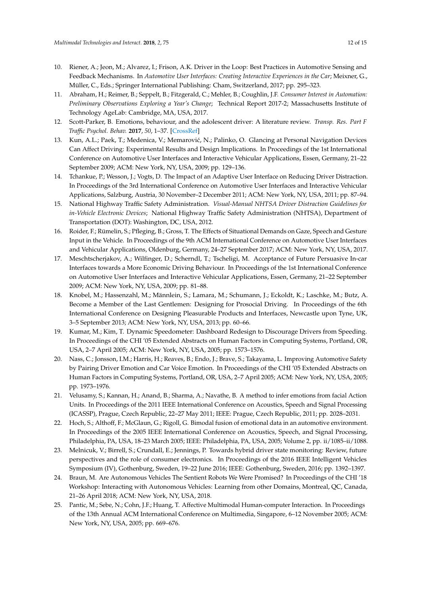- <span id="page-11-0"></span>10. Riener, A.; Jeon, M.; Alvarez, I.; Frison, A.K. Driver in the Loop: Best Practices in Automotive Sensing and Feedback Mechanisms. In *Automotive User Interfaces: Creating Interactive Experiences in the Car*; Meixner, G., Müller, C., Eds.; Springer International Publishing: Cham, Switzerland, 2017; pp. 295–323.
- <span id="page-11-1"></span>11. Abraham, H.; Reimer, B.; Seppelt, B.; Fitzgerald, C.; Mehler, B.; Coughlin, J.F. *Consumer Interest in Automation: Preliminary Observations Exploring a Year's Change*; Technical Report 2017-2; Massachusetts Institute of Technology AgeLab: Cambridge, MA, USA, 2017.
- <span id="page-11-2"></span>12. Scott-Parker, B. Emotions, behaviour, and the adolescent driver: A literature review. *Transp. Res. Part F Traffic Psychol. Behav.* **2017**, *50*, 1–37. [\[CrossRef\]](http://dx.doi.org/10.1016/j.trf.2017.06.019)
- <span id="page-11-3"></span>13. Kun, A.L.; Paek, T.; Medenica, V.; Memarović, N.; Palinko, O. Glancing at Personal Navigation Devices Can Affect Driving: Experimental Results and Design Implications. In Proceedings of the 1st International Conference on Automotive User Interfaces and Interactive Vehicular Applications, Essen, Germany, 21–22 September 2009; ACM: New York, NY, USA, 2009; pp. 129–136.
- <span id="page-11-4"></span>14. Tchankue, P.; Wesson, J.; Vogts, D. The Impact of an Adaptive User Interface on Reducing Driver Distraction. In Proceedings of the 3rd International Conference on Automotive User Interfaces and Interactive Vehicular Applications, Salzburg, Austria, 30 November–2 December 2011; ACM: New York, NY, USA, 2011; pp. 87–94.
- <span id="page-11-5"></span>15. National Highway Traffic Safety Administration. *Visual-Manual NHTSA Driver Distraction Guidelines for in-Vehicle Electronic Devices*; National Highway Traffic Safety Administration (NHTSA), Department of Transportation (DOT): Washington, DC, USA, 2012.
- <span id="page-11-6"></span>16. Roider, F.; Rümelin, S.; Pfleging, B.; Gross, T. The Effects of Situational Demands on Gaze, Speech and Gesture Input in the Vehicle. In Proceedings of the 9th ACM International Conference on Automotive User Interfaces and Vehicular Applications, Oldenburg, Germany, 24–27 September 2017; ACM: New York, NY, USA, 2017.
- <span id="page-11-7"></span>17. Meschtscherjakov, A.; Wilfinger, D.; Scherndl, T.; Tscheligi, M. Acceptance of Future Persuasive In-car Interfaces towards a More Economic Driving Behaviour. In Proceedings of the 1st International Conference on Automotive User Interfaces and Interactive Vehicular Applications, Essen, Germany, 21–22 September 2009; ACM: New York, NY, USA, 2009; pp. 81–88.
- <span id="page-11-8"></span>18. Knobel, M.; Hassenzahl, M.; Männlein, S.; Lamara, M.; Schumann, J.; Eckoldt, K.; Laschke, M.; Butz, A. Become a Member of the Last Gentlemen: Designing for Prosocial Driving. In Proceedings of the 6th International Conference on Designing Pleasurable Products and Interfaces, Newcastle upon Tyne, UK, 3–5 September 2013; ACM: New York, NY, USA, 2013; pp. 60–66.
- <span id="page-11-9"></span>19. Kumar, M.; Kim, T. Dynamic Speedometer: Dashboard Redesign to Discourage Drivers from Speeding. In Proceedings of the CHI '05 Extended Abstracts on Human Factors in Computing Systems, Portland, OR, USA, 2–7 April 2005; ACM: New York, NY, USA, 2005; pp. 1573–1576.
- <span id="page-11-10"></span>20. Nass, C.; Jonsson, I.M.; Harris, H.; Reaves, B.; Endo, J.; Brave, S.; Takayama, L. Improving Automotive Safety by Pairing Driver Emotion and Car Voice Emotion. In Proceedings of the CHI '05 Extended Abstracts on Human Factors in Computing Systems, Portland, OR, USA, 2–7 April 2005; ACM: New York, NY, USA, 2005; pp. 1973–1976.
- <span id="page-11-11"></span>21. Velusamy, S.; Kannan, H.; Anand, B.; Sharma, A.; Navathe, B. A method to infer emotions from facial Action Units. In Proceedings of the 2011 IEEE International Conference on Acoustics, Speech and Signal Processing (ICASSP), Prague, Czech Republic, 22–27 May 2011; IEEE: Prague, Czech Republic, 2011; pp. 2028–2031.
- <span id="page-11-12"></span>22. Hoch, S.; Althoff, F.; McGlaun, G.; Rigoll, G. Bimodal fusion of emotional data in an automotive environment. In Proceedings of the 2005 IEEE International Conference on Acoustics, Speech, and Signal Processing, Philadelphia, PA, USA, 18–23 March 2005; IEEE: Philadelphia, PA, USA, 2005; Volume 2, pp. ii/1085–ii/1088.
- <span id="page-11-13"></span>23. Melnicuk, V.; Birrell, S.; Crundall, E.; Jennings, P. Towards hybrid driver state monitoring: Review, future perspectives and the role of consumer electronics. In Proceedings of the 2016 IEEE Intelligent Vehicles Symposium (IV), Gothenburg, Sweden, 19–22 June 2016; IEEE: Gothenburg, Sweden, 2016; pp. 1392–1397.
- <span id="page-11-14"></span>24. Braun, M. Are Autonomous Vehicles The Sentient Robots We Were Promised? In Proceedings of the CHI '18 Workshop: Interacting with Autonomous Vehicles: Learning from other Domains, Montreal, QC, Canada, 21–26 April 2018; ACM: New York, NY, USA, 2018.
- <span id="page-11-15"></span>25. Pantic, M.; Sebe, N.; Cohn, J.F.; Huang, T. Affective Multimodal Human-computer Interaction. In Proceedings of the 13th Annual ACM International Conference on Multimedia, Singapore, 6–12 November 2005; ACM: New York, NY, USA, 2005; pp. 669–676.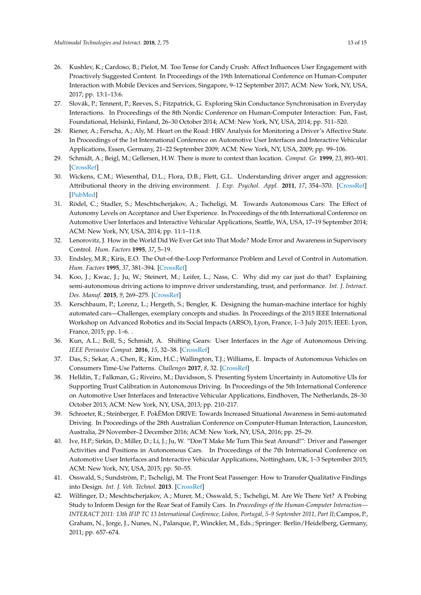- <span id="page-12-0"></span>26. Kushlev, K.; Cardoso, B.; Pielot, M. Too Tense for Candy Crush: Affect Influences User Engagement with Proactively Suggested Content. In Proceedings of the 19th International Conference on Human-Computer Interaction with Mobile Devices and Services, Singapore, 9–12 September 2017; ACM: New York, NY, USA, 2017; pp. 13:1–13:6.
- <span id="page-12-1"></span>27. Slovák, P.; Tennent, P.; Reeves, S.; Fitzpatrick, G. Exploring Skin Conductance Synchronisation in Everyday Interactions. In Proceedings of the 8th Nordic Conference on Human-Computer Interaction: Fun, Fast, Foundational, Helsinki, Finland, 26–30 October 2014; ACM: New York, NY, USA, 2014; pp. 511–520.
- <span id="page-12-2"></span>28. Riener, A.; Ferscha, A.; Aly, M. Heart on the Road: HRV Analysis for Monitoring a Driver's Affective State. In Proceedings of the 1st International Conference on Automotive User Interfaces and Interactive Vehicular Applications, Essen, Germany, 21–22 September 2009; ACM: New York, NY, USA, 2009; pp. 99–106.
- <span id="page-12-3"></span>29. Schmidt, A.; Beigl, M.; Gellersen, H.W. There is more to context than location. *Comput. Gr.* **1999**, *23*, 893–901. [\[CrossRef\]](http://dx.doi.org/10.1016/S0097-8493(99)00120-X)
- <span id="page-12-4"></span>30. Wickens, C.M.; Wiesenthal, D.L.; Flora, D.B.; Flett, G.L. Understanding driver anger and aggression: Attributional theory in the driving environment. *J. Exp. Psychol. Appl.* **2011**, *17*, 354–370. [\[CrossRef\]](http://dx.doi.org/10.1037/a0025815) [\[PubMed\]](http://www.ncbi.nlm.nih.gov/pubmed/21988326)
- <span id="page-12-5"></span>31. Rödel, C.; Stadler, S.; Meschtscherjakov, A.; Tscheligi, M. Towards Autonomous Cars: The Effect of Autonomy Levels on Acceptance and User Experience. In Proceedings of the 6th International Conference on Automotive User Interfaces and Interactive Vehicular Applications, Seattle, WA, USA, 17–19 September 2014; ACM: New York, NY, USA, 2014; pp. 11:1–11:8.
- <span id="page-12-6"></span>32. Lenorovitz, J. How in the World Did We Ever Get into That Mode? Mode Error and Awareness in Supervisory Control. *Hum. Factors* **1995**, *37*, 5–19.
- <span id="page-12-7"></span>33. Endsley, M.R.; Kiris, E.O. The Out-of-the-Loop Performance Problem and Level of Control in Automation. *Hum. Factors* **1995**, *37*, 381–394. [\[CrossRef\]](http://dx.doi.org/10.1518/001872095779064555)
- <span id="page-12-8"></span>34. Koo, J.; Kwac, J.; Ju, W.; Steinert, M.; Leifer, L.; Nass, C. Why did my car just do that? Explaining semi-autonomous driving actions to improve driver understanding, trust, and performance. *Int. J. Interact. Des. Manuf.* **2015**, *9*, 269–275. [\[CrossRef\]](http://dx.doi.org/10.1007/s12008-014-0227-2)
- <span id="page-12-9"></span>35. Kerschbaum, P.; Lorenz, L.; Hergeth, S.; Bengler, K. Designing the human-machine interface for highly automated cars—Challenges, exemplary concepts and studies. In Proceedings of the 2015 IEEE International Workshop on Advanced Robotics and its Social Impacts (ARSO), Lyon, France, 1–3 July 2015; IEEE: Lyon, France, 2015; pp. 1–6. .
- <span id="page-12-10"></span>36. Kun, A.L.; Boll, S.; Schmidt, A. Shifting Gears: User Interfaces in the Age of Autonomous Driving. *IEEE Pervasive Comput.* **2016**, *15*, 32–38. [\[CrossRef\]](http://dx.doi.org/10.1109/MPRV.2016.14)
- <span id="page-12-11"></span>37. Das, S.; Sekar, A.; Chen, R.; Kim, H.C.; Wallington, T.J.; Williams, E. Impacts of Autonomous Vehicles on Consumers Time-Use Patterns. *Challenges* **2017**, *8*, 32. [\[CrossRef\]](http://dx.doi.org/10.3390/challe8020032)
- <span id="page-12-12"></span>38. Helldin, T.; Falkman, G.; Riveiro, M.; Davidsson, S. Presenting System Uncertainty in Automotive UIs for Supporting Trust Calibration in Autonomous Driving. In Proceedings of the 5th International Conference on Automotive User Interfaces and Interactive Vehicular Applications, Eindhoven, The Netherlands, 28–30 October 2013; ACM: New York, NY, USA, 2013; pp. 210–217.
- <span id="page-12-13"></span>39. Schroeter, R.; Steinberger, F. PokÉMon DRIVE: Towards Increased Situational Awareness in Semi-automated Driving. In Proceedings of the 28th Australian Conference on Computer-Human Interaction, Launceston, Australia, 29 November–2 December 2016; ACM: New York, NY, USA, 2016; pp. 25–29.
- <span id="page-12-14"></span>40. Ive, H.P.; Sirkin, D.; Miller, D.; Li, J.; Ju, W. "Don'T Make Me Turn This Seat Around!": Driver and Passenger Activities and Positions in Autonomous Cars. In Proceedings of the 7th International Conference on Automotive User Interfaces and Interactive Vehicular Applications, Nottingham, UK, 1–3 September 2015; ACM: New York, NY, USA, 2015; pp. 50–55.
- <span id="page-12-15"></span>41. Osswald, S.; Sundström, P.; Tscheligi, M. The Front Seat Passenger: How to Transfer Qualitative Findings into Design. *Int. J. Veh. Technol.* **2013**. [\[CrossRef\]](http://dx.doi.org/10.1155/2013/972570)
- <span id="page-12-16"></span>42. Wilfinger, D.; Meschtscherjakov, A.; Murer, M.; Osswald, S.; Tscheligi, M. Are We There Yet? A Probing Study to Inform Design for the Rear Seat of Family Cars. In *Proceedings of the Human-Computer Interaction— INTERACT 2011: 13th IFIP TC 13 International Conference, Lisbon, Portugal, 5–9 September 2011, Part II*; Campos, P., Graham, N., Jorge, J., Nunes, N., Palanque, P., Winckler, M., Eds.; Springer: Berlin/Heidelberg, Germany, 2011; pp. 657–674.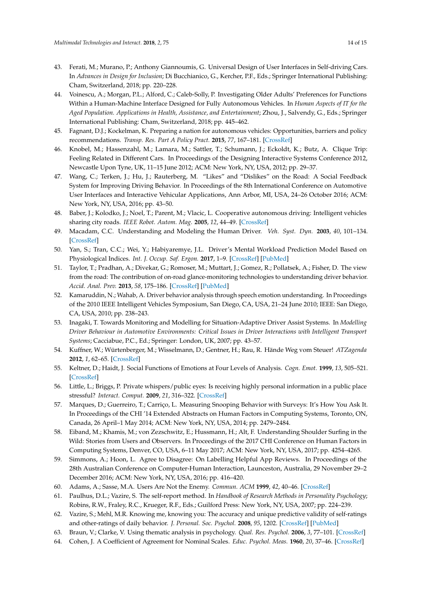- <span id="page-13-0"></span>43. Ferati, M.; Murano, P.; Anthony Giannoumis, G. Universal Design of User Interfaces in Self-driving Cars. In *Advances in Design for Inclusion*; Di Bucchianico, G., Kercher, P.F., Eds.; Springer International Publishing: Cham, Switzerland, 2018; pp. 220–228.
- <span id="page-13-1"></span>44. Voinescu, A.; Morgan, P.L.; Alford, C.; Caleb-Solly, P. Investigating Older Adults' Preferences for Functions Within a Human-Machine Interface Designed for Fully Autonomous Vehicles. In *Human Aspects of IT for the Aged Population. Applications in Health, Assistance, and Entertainment*; Zhou, J., Salvendy, G., Eds.; Springer International Publishing: Cham, Switzerland, 2018; pp. 445–462.
- <span id="page-13-2"></span>45. Fagnant, D.J.; Kockelman, K. Preparing a nation for autonomous vehicles: Opportunities, barriers and policy recommendations. *Transp. Res. Part A Policy Pract.* **2015**, *77*, 167–181. [\[CrossRef\]](http://dx.doi.org/10.1016/j.tra.2015.04.003)
- <span id="page-13-3"></span>46. Knobel, M.; Hassenzahl, M.; Lamara, M.; Sattler, T.; Schumann, J.; Eckoldt, K.; Butz, A. Clique Trip: Feeling Related in Different Cars. In Proceedings of the Designing Interactive Systems Conference 2012, Newcastle Upon Tyne, UK, 11–15 June 2012; ACM: New York, NY, USA, 2012; pp. 29–37.
- <span id="page-13-4"></span>47. Wang, C.; Terken, J.; Hu, J.; Rauterberg, M. "Likes" and "Dislikes" on the Road: A Social Feedback System for Improving Driving Behavior. In Proceedings of the 8th International Conference on Automotive User Interfaces and Interactive Vehicular Applications, Ann Arbor, MI, USA, 24–26 October 2016; ACM: New York, NY, USA, 2016; pp. 43–50.
- <span id="page-13-5"></span>48. Baber, J.; Kolodko, J.; Noel, T.; Parent, M.; Vlacic, L. Cooperative autonomous driving: Intelligent vehicles sharing city roads. *IEEE Robot. Autom. Mag.* **2005**, *12*, 44–49. [\[CrossRef\]](http://dx.doi.org/10.1109/MRA.2005.1411418)
- <span id="page-13-6"></span>49. Macadam, C.C. Understanding and Modeling the Human Driver. *Veh. Syst. Dyn.* **2003**, *40*, 101–134. [\[CrossRef\]](http://dx.doi.org/10.1076/vesd.40.1.101.15875)
- <span id="page-13-7"></span>50. Yan, S.; Tran, C.C.; Wei, Y.; Habiyaremye, J.L. Driver's Mental Workload Prediction Model Based on Physiological Indices. *Int. J. Occup. Saf. Ergon.* **2017**, 1–9. [\[CrossRef\]](http://dx.doi.org/10.1080/10803548.2017.1368951) [\[PubMed\]](http://www.ncbi.nlm.nih.gov/pubmed/28820660)
- <span id="page-13-8"></span>51. Taylor, T.; Pradhan, A.; Divekar, G.; Romoser, M.; Muttart, J.; Gomez, R.; Pollatsek, A.; Fisher, D. The view from the road: The contribution of on-road glance-monitoring technologies to understanding driver behavior. *Accid. Anal. Prev.* **2013**, *58*, 175–186. [\[CrossRef\]](http://dx.doi.org/10.1016/j.aap.2013.02.008) [\[PubMed\]](http://www.ncbi.nlm.nih.gov/pubmed/23548549)
- <span id="page-13-9"></span>52. Kamaruddin, N.; Wahab, A. Driver behavior analysis through speech emotion understanding. In Proceedings of the 2010 IEEE Intelligent Vehicles Symposium, San Diego, CA, USA, 21–24 June 2010; IEEE: San Diego, CA, USA, 2010; pp. 238–243.
- <span id="page-13-10"></span>53. Inagaki, T. Towards Monitoring and Modelling for Situation-Adaptive Driver Assist Systems. In *Modelling Driver Behaviour in Automotive Environments: Critical Issues in Driver Interactions with Intelligent Transport Systems*; Cacciabue, P.C., Ed.; Springer: London, UK, 2007; pp. 43–57.
- <span id="page-13-11"></span>54. Kuffner, W.; Würtenberger, M.; Wisselmann, D.; Gentner, H.; Rau, R. Hände Weg vom Steuer! *ATZagenda* **2012**, *1*, 62–65. [\[CrossRef\]](http://dx.doi.org/10.1007/s40357-012-0021-8)
- <span id="page-13-12"></span>55. Keltner, D.; Haidt, J. Social Functions of Emotions at Four Levels of Analysis. *Cogn. Emot.* **1999**, *13*, 505–521. [\[CrossRef\]](http://dx.doi.org/10.1080/026999399379168)
- <span id="page-13-13"></span>56. Little, L.; Briggs, P. Private whispers/public eyes: Is receiving highly personal information in a public place stressful? *Interact. Comput.* **2009**, *21*, 316–322. [\[CrossRef\]](http://dx.doi.org/10.1016/j.intcom.2009.06.002)
- <span id="page-13-14"></span>57. Marques, D.; Guerreiro, T.; Carriço, L. Measuring Snooping Behavior with Surveys: It's How You Ask It. In Proceedings of the CHI '14 Extended Abstracts on Human Factors in Computing Systems, Toronto, ON, Canada, 26 April–1 May 2014; ACM: New York, NY, USA, 2014; pp. 2479–2484.
- <span id="page-13-15"></span>58. Eiband, M.; Khamis, M.; von Zezschwitz, E.; Hussmann, H.; Alt, F. Understanding Shoulder Surfing in the Wild: Stories from Users and Observers. In Proceedings of the 2017 CHI Conference on Human Factors in Computing Systems, Denver, CO, USA, 6–11 May 2017; ACM: New York, NY, USA, 2017; pp. 4254–4265.
- <span id="page-13-16"></span>59. Simmons, A.; Hoon, L. Agree to Disagree: On Labelling Helpful App Reviews. In Proceedings of the 28th Australian Conference on Computer-Human Interaction, Launceston, Australia, 29 November 29–2 December 2016; ACM: New York, NY, USA, 2016; pp. 416–420.
- <span id="page-13-17"></span>60. Adams, A.; Sasse, M.A. Users Are Not the Enemy. *Commun. ACM* **1999**, *42*, 40–46. [\[CrossRef\]](http://dx.doi.org/10.1145/322796.322806)
- <span id="page-13-18"></span>61. Paulhus, D.L.; Vazire, S. The self-report method. In *Handbook of Research Methods in Personality Psychology*; Robins, R.W., Fraley, R.C., Krueger, R.F., Eds.; Guilford Press: New York, NY, USA, 2007; pp. 224–239.
- <span id="page-13-19"></span>62. Vazire, S.; Mehl, M.R. Knowing me, knowing you: The accuracy and unique predictive validity of self-ratings and other-ratings of daily behavior. *J. Personal. Soc. Psychol.* **2008**, *95*, 1202. [\[CrossRef\]](http://dx.doi.org/10.1037/a0013314) [\[PubMed\]](http://www.ncbi.nlm.nih.gov/pubmed/18954202)
- <span id="page-13-21"></span><span id="page-13-20"></span>63. Braun, V.; Clarke, V. Using thematic analysis in psychology. *Qual. Res. Psychol.* **2006**, *3*, 77–101. [\[CrossRef\]](http://dx.doi.org/10.1191/1478088706qp063oa)
- 64. Cohen, J. A Coefficient of Agreement for Nominal Scales. *Educ. Psychol. Meas.* **1960**, *20*, 37–46. [\[CrossRef\]](http://dx.doi.org/10.1177/001316446002000104)